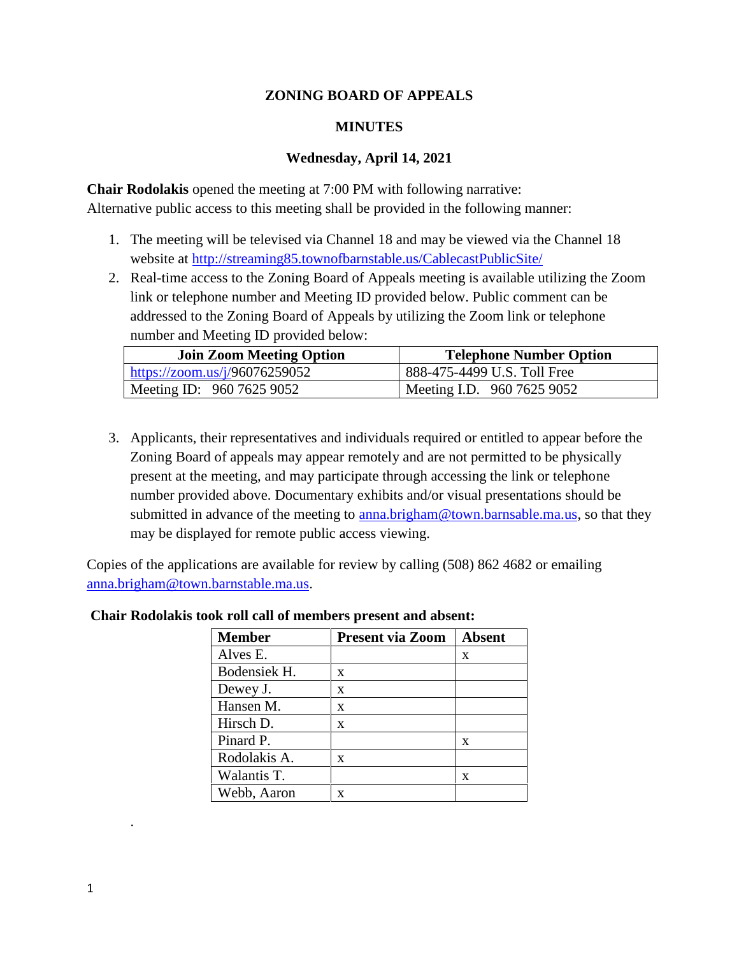## **ZONING BOARD OF APPEALS**

## **MINUTES**

### **Wednesday, April 14, 2021**

**Chair Rodolakis** opened the meeting at 7:00 PM with following narrative: Alternative public access to this meeting shall be provided in the following manner:

- 1. The meeting will be televised via Channel 18 and may be viewed via the Channel 18 website at http://streaming85.townofbarnstable.us/CablecastPublicSite/
- 2. Real-time access to the Zoning Board of Appeals meeting is available utilizing the Zoom link or telephone number and Meeting ID provided below. Public comment can be addressed to the Zoning Board of Appeals by utilizing the Zoom link or telephone number and Meeting ID provided below:

| <b>Join Zoom Meeting Option</b> | <b>Telephone Number Option</b> |
|---------------------------------|--------------------------------|
| https://zoom.us/j/96076259052   | 888-475-4499 U.S. Toll Free    |
| Meeting ID: 960 7625 9052       | Meeting I.D. $960\,7625\,9052$ |

3. Applicants, their representatives and individuals required or entitled to appear before the Zoning Board of appeals may appear remotely and are not permitted to be physically present at the meeting, and may participate through accessing the link or telephone number provided above. Documentary exhibits and/or visual presentations should be submitted in advance of the meeting to anna.brigham@town.barnsable.ma.us, so that they may be displayed for remote public access viewing.

Copies of the applications are available for review by calling (508) 862 4682 or emailing anna.brigham@town.barnstable.ma.us.

| <b>Member</b> | <b>Present via Zoom</b> | <b>Absent</b> |
|---------------|-------------------------|---------------|
| Alves E.      |                         | X             |
| Bodensiek H.  | X                       |               |
| Dewey J.      | X                       |               |
| Hansen M.     | X                       |               |
| Hirsch D.     | X                       |               |
| Pinard P.     |                         | X             |
| Rodolakis A.  | X                       |               |
| Walantis T.   |                         | X             |
| Webb, Aaron   | x                       |               |

### **Chair Rodolakis took roll call of members present and absent:**

.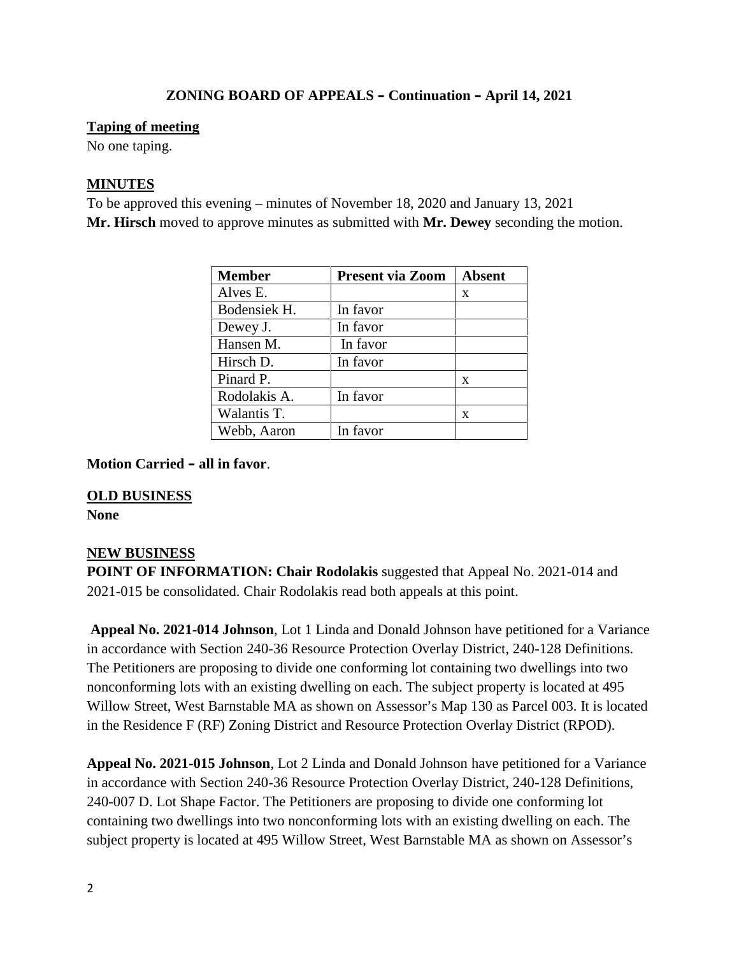### **Taping of meeting**

No one taping.

## **MINUTES**

To be approved this evening – minutes of November 18, 2020 and January 13, 2021 **Mr. Hirsch** moved to approve minutes as submitted with **Mr. Dewey** seconding the motion.

| <b>Member</b> | <b>Present via Zoom</b> | <b>Absent</b> |
|---------------|-------------------------|---------------|
| Alves E.      |                         | X             |
| Bodensiek H.  | In favor                |               |
| Dewey J.      | In favor                |               |
| Hansen M.     | In favor                |               |
| Hirsch D.     | In favor                |               |
| Pinard P.     |                         | X             |
| Rodolakis A.  | In favor                |               |
| Walantis T.   |                         | X             |
| Webb, Aaron   | In favor                |               |

**Motion Carried – all in favor**.

### **OLD BUSINESS**

**None**

### **NEW BUSINESS**

**POINT OF INFORMATION: Chair Rodolakis** suggested that Appeal No. 2021-014 and 2021-015 be consolidated. Chair Rodolakis read both appeals at this point.

**Appeal No. 2021-014 Johnson**, Lot 1 Linda and Donald Johnson have petitioned for a Variance in accordance with Section 240-36 Resource Protection Overlay District, 240-128 Definitions. The Petitioners are proposing to divide one conforming lot containing two dwellings into two nonconforming lots with an existing dwelling on each. The subject property is located at 495 Willow Street, West Barnstable MA as shown on Assessor's Map 130 as Parcel 003. It is located in the Residence F (RF) Zoning District and Resource Protection Overlay District (RPOD).

**Appeal No. 2021-015 Johnson**, Lot 2 Linda and Donald Johnson have petitioned for a Variance in accordance with Section 240-36 Resource Protection Overlay District, 240-128 Definitions, 240-007 D. Lot Shape Factor. The Petitioners are proposing to divide one conforming lot containing two dwellings into two nonconforming lots with an existing dwelling on each. The subject property is located at 495 Willow Street, West Barnstable MA as shown on Assessor's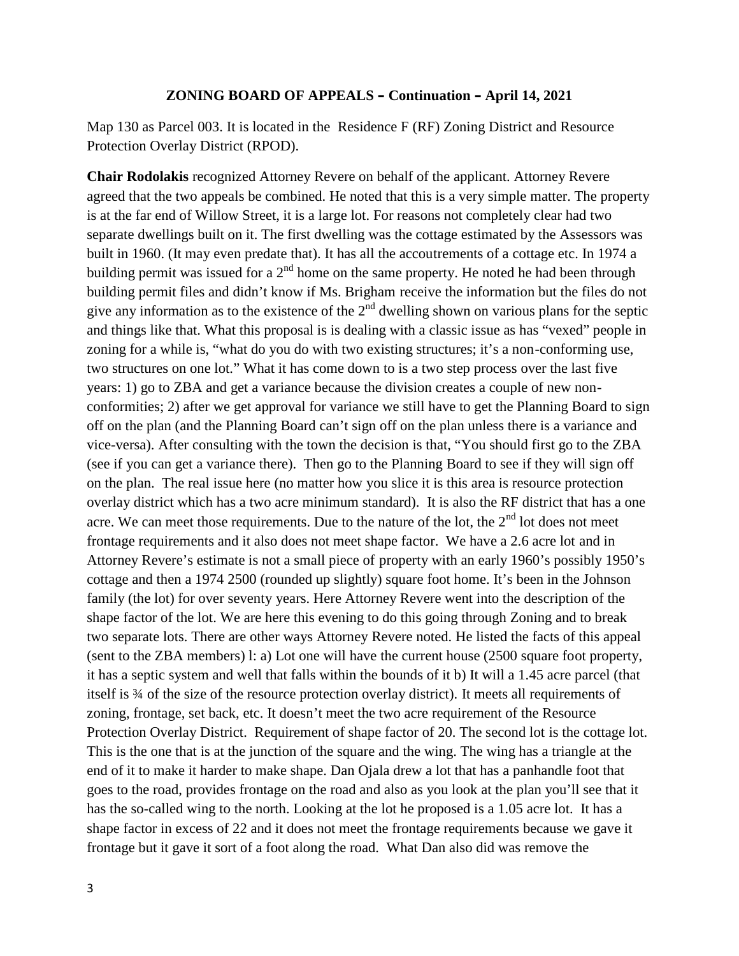Map 130 as Parcel 003. It is located in the Residence F (RF) Zoning District and Resource Protection Overlay District (RPOD).

**Chair Rodolakis** recognized Attorney Revere on behalf of the applicant. Attorney Revere agreed that the two appeals be combined. He noted that this is a very simple matter. The property is at the far end of Willow Street, it is a large lot. For reasons not completely clear had two separate dwellings built on it. The first dwelling was the cottage estimated by the Assessors was built in 1960. (It may even predate that). It has all the accoutrements of a cottage etc. In 1974 a building permit was issued for a  $2<sup>nd</sup>$  home on the same property. He noted he had been through building permit files and didn't know if Ms. Brigham receive the information but the files do not give any information as to the existence of the  $2<sup>nd</sup>$  dwelling shown on various plans for the septic and things like that. What this proposal is is dealing with a classic issue as has "vexed" people in zoning for a while is, "what do you do with two existing structures; it's a non-conforming use, two structures on one lot." What it has come down to is a two step process over the last five years: 1) go to ZBA and get a variance because the division creates a couple of new non conformities; 2) after we get approval for variance we still have to get the Planning Board to sign off on the plan (and the Planning Board can't sign off on the plan unless there is a variance and vice-versa). After consulting with the town the decision is that, "You should first go to the ZBA (see if you can get a variance there). Then go to the Planning Board to see if they will sign off on the plan. The real issue here (no matter how you slice it is this area is resource protection overlay district which has a two acre minimum standard). It is also the RF district that has a one acre. We can meet those requirements. Due to the nature of the lot, the  $2<sup>nd</sup>$  lot does not meet frontage requirements and it also does not meet shape factor. We have a 2.6 acre lot and in Attorney Revere's estimate is not a small piece of property with an early 1960's possibly 1950's cottage and then a 1974 2500 (rounded up slightly) square foot home. It's been in the Johnson family (the lot) for over seventy years. Here Attorney Revere went into the description of the shape factor of the lot. We are here this evening to do this going through Zoning and to break two separate lots. There are other ways Attorney Revere noted. He listed the facts of this appeal (sent to the ZBA members) l: a) Lot one will have the current house (2500 square foot property, it has a septic system and well that falls within the bounds of it b) It will a 1.45 acre parcel (that itself is ¾ of the size of the resource protection overlay district). It meets all requirements of zoning, frontage, set back, etc. It doesn't meet the two acre requirement of the Resource Protection Overlay District. Requirement of shape factor of 20. The second lot is the cottage lot. This is the one that is at the junction of the square and the wing. The wing has a triangle at the end of it to make it harder to make shape. Dan Ojala drew a lot that has a panhandle foot that goes to the road, provides frontage on the road and also as you look at the plan you'll see that it has the so-called wing to the north. Looking at the lot he proposed is a 1.05 acre lot. It has a shape factor in excess of 22 and it does not meet the frontage requirements because we gave it frontage but it gave it sort of a foot along the road. What Dan also did was remove the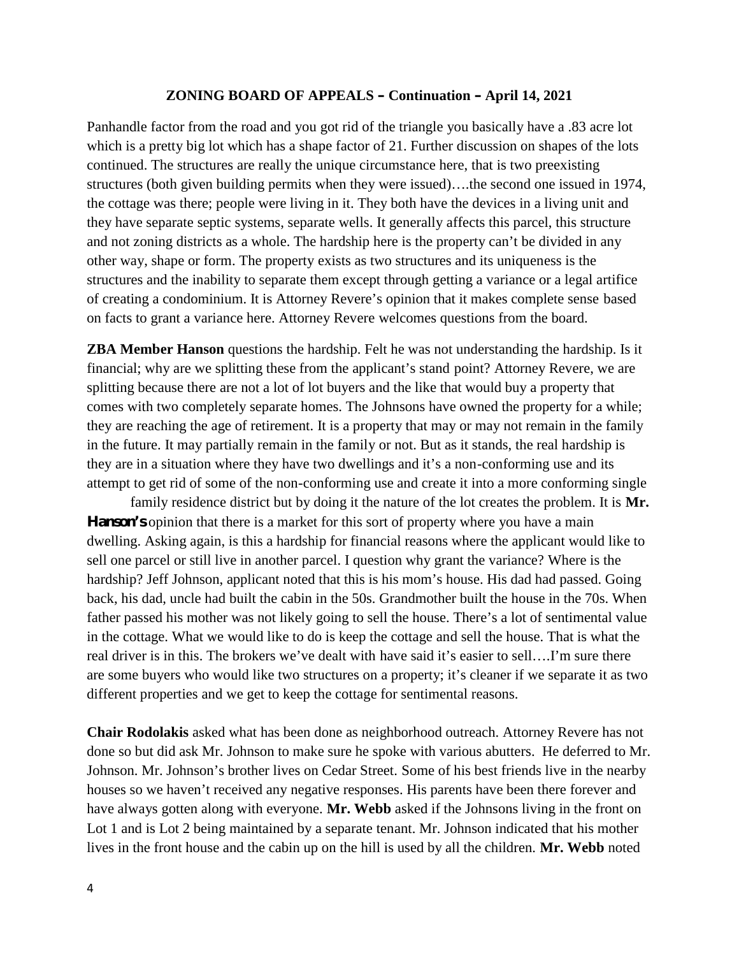Panhandle factor from the road and you got rid of the triangle you basically have a .83 acre lot which is a pretty big lot which has a shape factor of 21. Further discussion on shapes of the lots continued. The structures are really the unique circumstance here, that is two preexisting structures (both given building permits when they were issued)….the second one issued in 1974, the cottage was there; people were living in it. They both have the devices in a living unit and they have separate septic systems, separate wells. It generally affects this parcel, this structure and not zoning districts as a whole. The hardship here is the property can't be divided in any other way, shape or form. The property exists as two structures and its uniqueness is the structures and the inability to separate them except through getting a variance or a legal artifice of creating a condominium. It is Attorney Revere's opinion that it makes complete sense based on facts to grant a variance here. Attorney Revere welcomes questions from the board.

**ZBA Member Hanson** questions the hardship. Felt he was not understanding the hardship. Is it financial; why are we splitting these from the applicant's stand point? Attorney Revere, we are splitting because there are not a lot of lot buyers and the like that would buy a property that comes with two completely separate homes. The Johnsons have owned the property for a while; they are reaching the age of retirement. It is a property that may or may not remain in the family in the future. It may partially remain in the family or not. But as it stands, the real hardship is they are in a situation where they have two dwellings and it's a non-conforming use and its attempt to get rid of some of the non-conforming use and create it into a more conforming single

family residence district but by doing it the nature of the lot creates the problem. It is **Mr. Hanson's** opinion that there is a market for this sort of property where you have a main dwelling. Asking again, is this a hardship for financial reasons where the applicant would like to sell one parcel or still live in another parcel. I question why grant the variance? Where is the hardship? Jeff Johnson, applicant noted that this is his mom's house. His dad had passed. Going back, his dad, uncle had built the cabin in the 50s. Grandmother built the house in the 70s. When father passed his mother was not likely going to sell the house. There's a lot of sentimental value in the cottage. What we would like to do is keep the cottage and sell the house. That is what the real driver is in this. The brokers we've dealt with have said it's easier to sell….I'm sure there are some buyers who would like two structures on a property; it's cleaner if we separate it as two different properties and we get to keep the cottage for sentimental reasons.

**Chair Rodolakis** asked what has been done as neighborhood outreach. Attorney Revere has not done so but did ask Mr. Johnson to make sure he spoke with various abutters. He deferred to Mr. Johnson. Mr. Johnson's brother lives on Cedar Street. Some of his best friends live in the nearby houses so we haven't received any negative responses. His parents have been there forever and have always gotten along with everyone. **Mr. Webb** asked if the Johnsons living in the front on Lot 1 and is Lot 2 being maintained by a separate tenant. Mr. Johnson indicated that his mother lives in the front house and the cabin up on the hill is used by all the children. **Mr. Webb** noted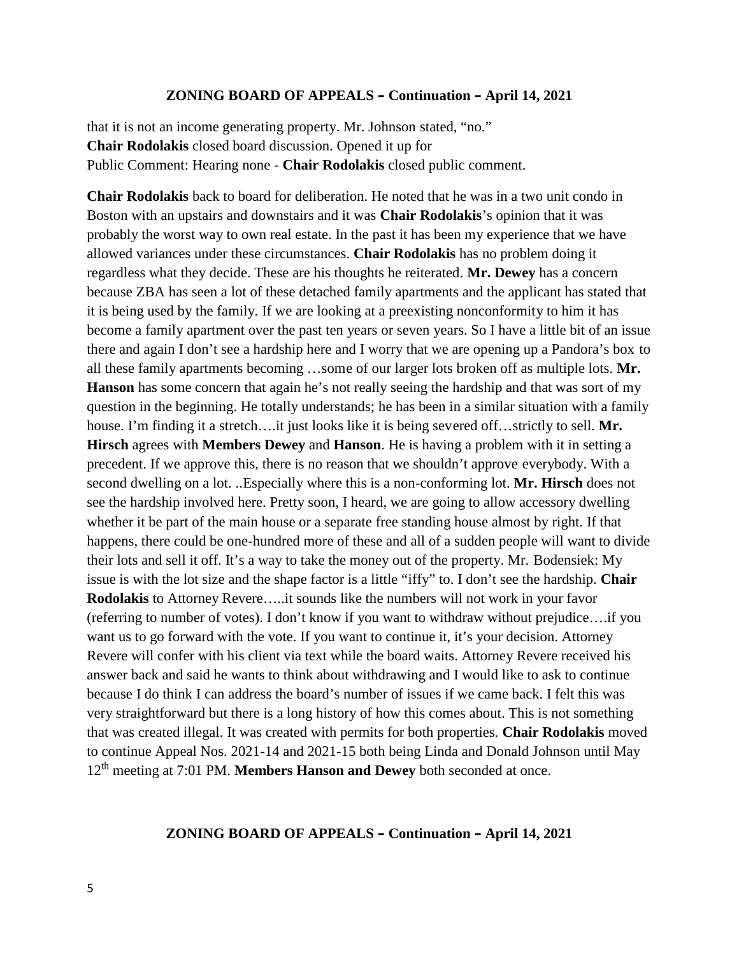that it is not an income generating property. Mr. Johnson stated, "no." **Chair Rodolakis** closed board discussion. Opened it up for Public Comment: Hearing none - **Chair Rodolakis** closed public comment.

**Chair Rodolakis** back to board for deliberation. He noted that he was in a two unit condo in Boston with an upstairs and downstairs and it was **Chair Rodolakis**'s opinion that it was probably the worst way to own real estate. In the past it has been my experience that we have allowed variances under these circumstances. **Chair Rodolakis** has no problem doing it regardless what they decide. These are his thoughts he reiterated. **Mr. Dewey** has a concern because ZBA has seen a lot of these detached family apartments and the applicant has stated that it is being used by the family. If we are looking at a preexisting nonconformity to him it has become a family apartment over the past ten years or seven years. So I have a little bit of an issue there and again I don't see a hardship here and I worry that we are opening up a Pandora's box to all these family apartments becoming …some of our larger lots broken off as multiple lots. **Mr. Hanson** has some concern that again he's not really seeing the hardship and that was sort of my question in the beginning. He totally understands; he has been in a similar situation with a family house. I'm finding it a stretch….it just looks like it is being severed off…strictly to sell. **Mr. Hirsch** agrees with **Members Dewey** and **Hanson**. He is having a problem with it in setting a precedent. If we approve this, there is no reason that we shouldn't approve everybody. With a second dwelling on a lot. ..Especially where this is a non-conforming lot. **Mr. Hirsch** does not see the hardship involved here. Pretty soon, I heard, we are going to allow accessory dwelling whether it be part of the main house or a separate free standing house almost by right. If that happens, there could be one-hundred more of these and all of a sudden people will want to divide their lots and sell it off. It's a way to take the money out of the property. Mr. Bodensiek: My issue is with the lot size and the shape factor is a little "iffy" to. I don't see the hardship. **Chair Rodolakis** to Attorney Revere…..it sounds like the numbers will not work in your favor (referring to number of votes). I don't know if you want to withdraw without prejudice….if you want us to go forward with the vote. If you want to continue it, it's your decision. Attorney Revere will confer with his client via text while the board waits. Attorney Revere received his answer back and said he wants to think about withdrawing and I would like to ask to continue because I do think I can address the board's number of issues if we came back. I felt this was very straightforward but there is a long history of how this comes about. This is not something that was created illegal. It was created with permits for both properties. **Chair Rodolakis** moved to continue Appeal Nos. 2021-14 and 2021-15 both being Linda and Donald Johnson until May 12th meeting at 7:01 PM. **Members Hanson and Dewey** both seconded at once.

#### **ZONING BOARD OF APPEALS – Continuation – April 14, 2021**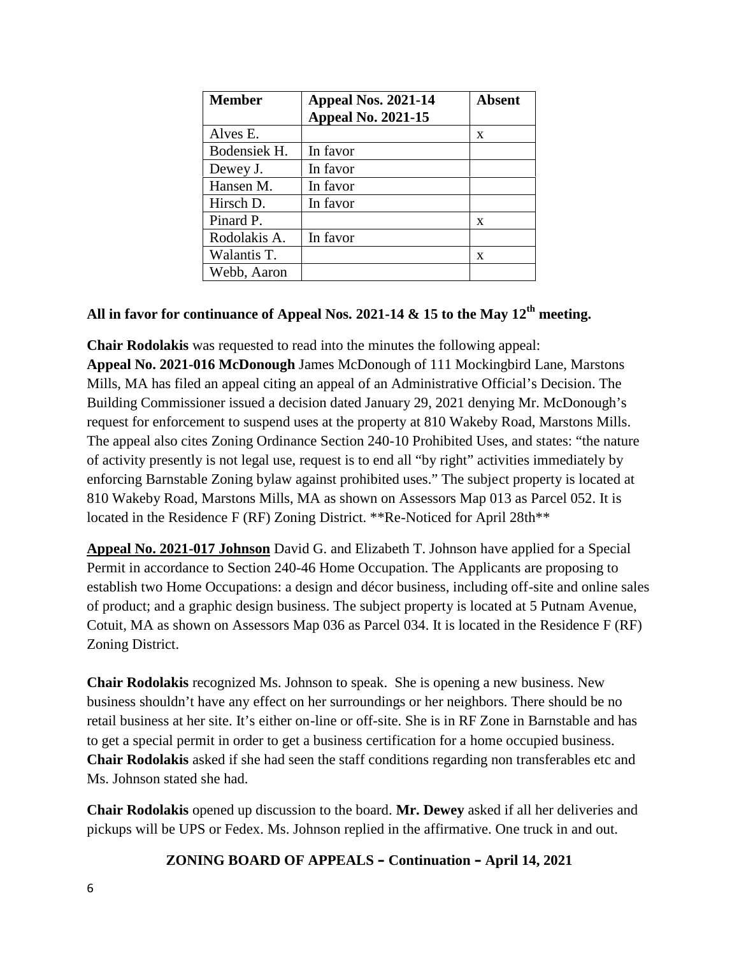| Member       | Appeal Nos. 2021-14<br><b>Appeal No. 2021-15</b> | <b>Absent</b> |
|--------------|--------------------------------------------------|---------------|
| Alves E.     |                                                  | X             |
| Bodensiek H. | In favor                                         |               |
| Dewey J.     | In favor                                         |               |
| Hansen M.    | In favor                                         |               |
| Hirsch D.    | In favor                                         |               |
| Pinard P.    |                                                  | X             |
| Rodolakis A. | In favor                                         |               |
| Walantis T.  |                                                  | X             |
| Webb, Aaron  |                                                  |               |

## **All in favor for continuance of Appeal Nos. 2021-14 & 15 to the May 12th meeting.**

**Chair Rodolakis** was requested to read into the minutes the following appeal: **Appeal No. 2021-016 McDonough** James McDonough of 111 Mockingbird Lane, Marstons Mills, MA has filed an appeal citing an appeal of an Administrative Official's Decision. The Building Commissioner issued a decision dated January 29, 2021 denying Mr. McDonough's request for enforcement to suspend uses at the property at 810 Wakeby Road, Marstons Mills. The appeal also cites Zoning Ordinance Section 240-10 Prohibited Uses, and states: "the nature of activity presently is not legal use, request is to end all "by right" activities immediately by enforcing Barnstable Zoning bylaw against prohibited uses." The subject property is located at 810 Wakeby Road, Marstons Mills, MA as shown on Assessors Map 013 as Parcel 052. It is located in the Residence F (RF) Zoning District. \*\*Re-Noticed for April 28th\*\*

**Appeal No. 2021-017 Johnson** David G. and Elizabeth T. Johnson have applied for a Special Permit in accordance to Section 240-46 Home Occupation. The Applicants are proposing to establish two Home Occupations: a design and décor business, including off-site and online sales of product; and a graphic design business. The subject property is located at 5 Putnam Avenue, Cotuit, MA as shown on Assessors Map 036 as Parcel 034. It is located in the Residence F (RF) Zoning District.

**Chair Rodolakis** recognized Ms. Johnson to speak. She is opening a new business. New business shouldn't have any effect on her surroundings or her neighbors. There should be no retail business at her site. It's either on-line or off-site. She is in RF Zone in Barnstable and has to get a special permit in order to get a business certification for a home occupied business. **Chair Rodolakis** asked if she had seen the staff conditions regarding non transferables etc and Ms. Johnson stated she had.

**Chair Rodolakis** opened up discussion to the board. **Mr. Dewey** asked if all her deliveries and pickups will be UPS or Fedex. Ms. Johnson replied in the affirmative. One truck in and out.

## **ZONING BOARD OF APPEALS – Continuation – April 14, 2021**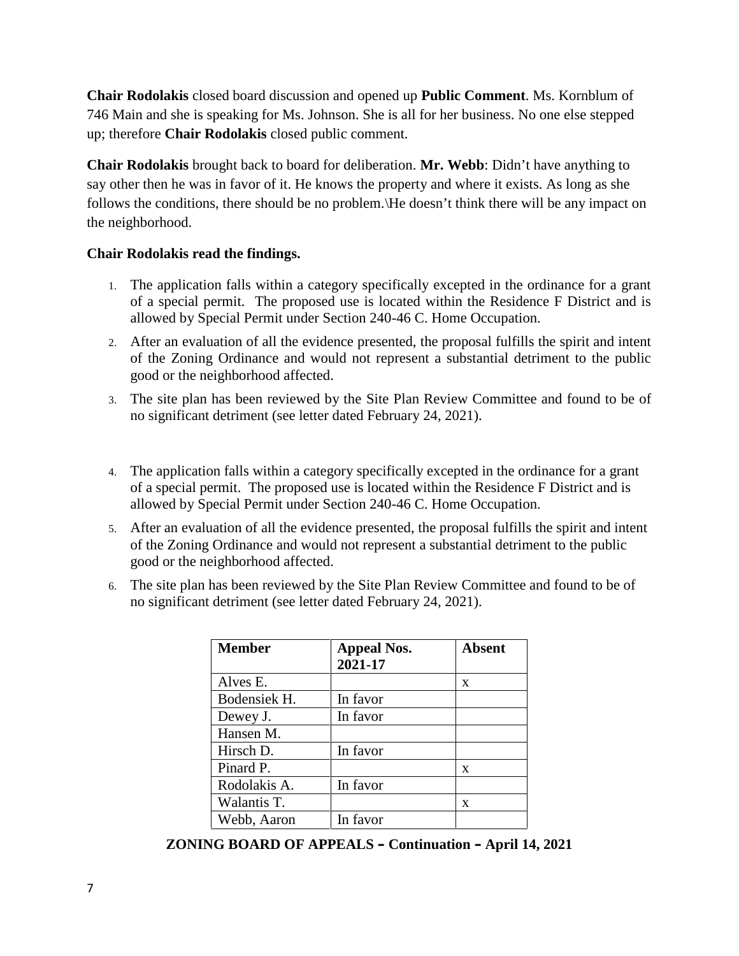**Chair Rodolakis** closed board discussion and opened up **Public Comment**. Ms. Kornblum of 746 Main and she is speaking for Ms. Johnson. She is all for her business. No one else stepped up; therefore **Chair Rodolakis** closed public comment.

**Chair Rodolakis** brought back to board for deliberation. **Mr. Webb**: Didn't have anything to say other then he was in favor of it. He knows the property and where it exists. As long as she follows the conditions, there should be no problem.\He doesn't think there will be any impact on the neighborhood.

## **Chair Rodolakis read the findings.**

- 1. The application falls within a category specifically excepted in the ordinance for a grant of a special permit. The proposed use is located within the Residence F District and is allowed by Special Permit under Section 240-46 C. Home Occupation.
- 2. After an evaluation of all the evidence presented, the proposal fulfills the spirit and intent of the Zoning Ordinance and would not represent a substantial detriment to the public good or the neighborhood affected.
- 3. The site plan has been reviewed by the Site Plan Review Committee and found to be of no significant detriment (see letter dated February 24, 2021).
- 4. The application falls within a category specifically excepted in the ordinance for a grant of a special permit. The proposed use is located within the Residence F District and is allowed by Special Permit under Section 240-46 C. Home Occupation.
- 5. After an evaluation of all the evidence presented, the proposal fulfills the spirit and intent of the Zoning Ordinance and would not represent a substantial detriment to the public good or the neighborhood affected.
- 6. The site plan has been reviewed by the Site Plan Review Committee and found to be of no significant detriment (see letter dated February 24, 2021).

| <b>Member</b> | <b>Appeal Nos.</b><br>2021-17 | Absent |
|---------------|-------------------------------|--------|
| Alves E.      |                               | X      |
| Bodensiek H.  | In favor                      |        |
| Dewey J.      | In favor                      |        |
| Hansen M.     |                               |        |
| Hirsch D.     | In favor                      |        |
| Pinard P.     |                               | X      |
| Rodolakis A.  | In favor                      |        |
| Walantis T.   |                               | X      |
| Webb, Aaron   | In favor                      |        |

**ZONING BOARD OF APPEALS – Continuation – April 14, 2021**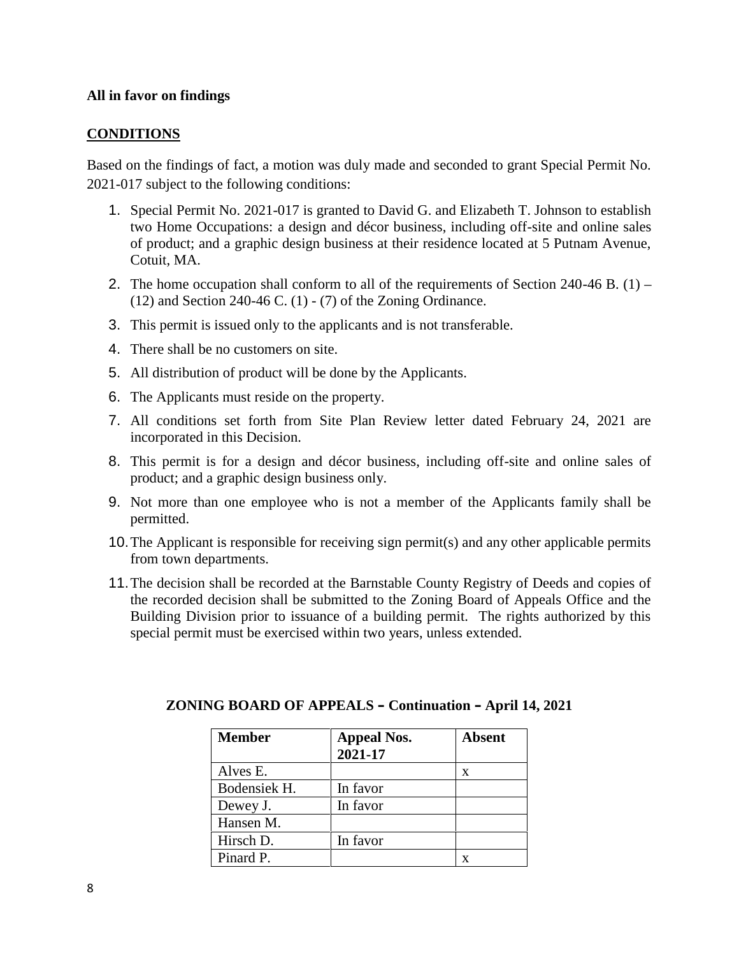### **All in favor on findings**

### **CONDITIONS**

Based on the findings of fact, a motion was duly made and seconded to grant Special Permit No. 2021-017 subject to the following conditions:

- 1. Special Permit No. 2021-017 is granted to David G. and Elizabeth T. Johnson to establish two Home Occupations: a design and décor business, including off-site and online sales of product; and a graphic design business at their residence located at 5 Putnam Avenue, Cotuit, MA.
- 2. The home occupation shall conform to all of the requirements of Section 240-46 B.  $(1)$   $(12)$  and Section 240-46 C.  $(1)$  -  $(7)$  of the Zoning Ordinance.
- 3. This permit is issued only to the applicants and is not transferable.
- 4. There shall be no customers on site.
- 5. All distribution of product will be done by the Applicants.
- 6. The Applicants must reside on the property.
- 7. All conditions set forth from Site Plan Review letter dated February 24, 2021 are incorporated in this Decision.
- 8. This permit is for a design and décor business, including off-site and online sales of product; and a graphic design business only.
- 9. Not more than one employee who is not a member of the Applicants family shall be permitted.
- 10.The Applicant is responsible for receiving sign permit(s) and any other applicable permits from town departments.
- 11.The decision shall be recorded at the Barnstable County Registry of Deeds and copies of the recorded decision shall be submitted to the Zoning Board of Appeals Office and the Building Division prior to issuance of a building permit. The rights authorized by this special permit must be exercised within two years, unless extended.

| <b>Member</b> | <b>Appeal Nos.</b><br>2021-17 | <b>Absent</b> |
|---------------|-------------------------------|---------------|
| Alves E.      |                               | X             |
| Bodensiek H.  | In favor                      |               |
| Dewey J.      | In favor                      |               |
| Hansen M.     |                               |               |
| Hirsch D.     | In favor                      |               |
| Pinard P.     |                               |               |

#### **ZONING BOARD OF APPEALS – Continuation – April 14, 2021**